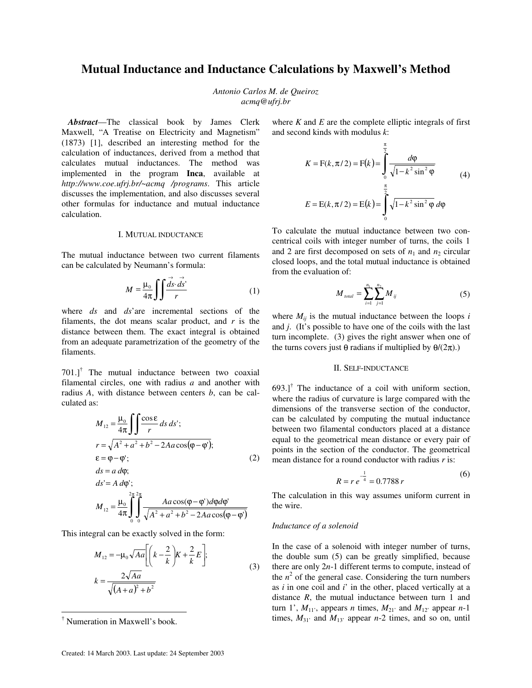# **Mutual Inductance and Inductance Calculations by Maxwell's Method**

*Antonio Carlos M. de Queiroz acmq@ufrj.br*

 *Abstract*—The classical book by James Clerk Maxwell, "A Treatise on Electricity and Magnetism" (1873) [1], described an interesting method for the calculation of inductances, derived from a method that calculates mutual inductances. The method was implemented in the program **Inca**, available at *http://www.coe.ufrj.br/~acmq /programs*. This article discusses the implementation, and also discusses several other formulas for inductance and mutual inductance calculation.

## I. MUTUAL INDUCTANCE

The mutual inductance between two current filaments can be calculated by Neumann's formula:

$$
M = \frac{\mu_0}{4\pi} \int \int \frac{\vec{ds} \cdot \vec{ds}}{r} \tag{1}
$$

where *ds* and *ds*'are incremental sections of the filaments, the dot means scalar product, and *r* is the distance between them. The exact integral is obtained from an adequate parametrization of the geometry of the filaments.

 $701$ .]<sup>†</sup> The mutual inductance between two coaxial filamental circles, one with radius *a* and another with radius *A*, with distance between centers *b*, can be calculated as:

$$
M_{12} = \frac{\mu_0}{4\pi} \int \int \frac{\cos \varepsilon}{r} ds ds';
$$
  
\n
$$
r = \sqrt{A^2 + a^2 + b^2 - 2Aa\cos(\varphi - \varphi');
$$
  
\n
$$
\varepsilon = \varphi - \varphi';
$$
  
\n
$$
ds = a d\varphi;
$$
  
\n
$$
ds' = A d\varphi';
$$
  
\n
$$
M_{12} = \frac{\mu_0}{4\pi} \int_{0}^{2\pi} \int_{0}^{2\pi} \frac{Aa\cos(\varphi - \varphi')d\varphi d\varphi'}{\sqrt{A^2 + a^2 + b^2 - 2Aa\cos(\varphi - \varphi')}}
$$

This integral can be exactly solved in the form:

0 0

$$
M_{12} = -\mu_0 \sqrt{Aa} \left[ \left( k - \frac{2}{k} \right) K + \frac{2}{k} E \right];
$$
  

$$
k = \frac{2\sqrt{Aa}}{\sqrt{(A+a)^2 + b^2}}
$$
 (3)

 $\overline{a}$ 

where  $K$  and  $E$  are the complete elliptic integrals of first and second kinds with modulus *k*:

$$
K = F(k, \pi/2) = F(k) = \int_{0}^{\frac{\pi}{2}} \frac{d\varphi}{\sqrt{1 - k^2 \sin^2 \varphi}}
$$
(4)  

$$
E = E(k, \pi/2) = E(k) = \int_{0}^{\frac{\pi}{2}} \sqrt{1 - k^2 \sin^2 \varphi} d\varphi
$$

To calculate the mutual inductance between two concentrical coils with integer number of turns, the coils 1 and 2 are first decomposed on sets of  $n_1$  and  $n_2$  circular closed loops, and the total mutual inductance is obtained from the evaluation of:

$$
M_{\text{total}} = \sum_{i=1}^{n_1} \sum_{j=1}^{n_2} M_{ij} \tag{5}
$$

where  $M_{ij}$  is the mutual inductance between the loops  $i$ and *j*. (It's possible to have one of the coils with the last turn incomplete. (3) gives the right answer when one of the turns covers just θ radians if multiplied by  $θ/(2π)$ .)

# II. SELF-INDUCTANCE

 $693.$ ]<sup>†</sup> The inductance of a coil with uniform section, where the radius of curvature is large compared with the dimensions of the transverse section of the conductor, can be calculated by computing the mutual inductance between two filamental conductors placed at a distance equal to the geometrical mean distance or every pair of points in the section of the conductor. The geometrical mean distance for a round conductor with radius *r* is:

$$
R = r e^{-\frac{1}{4}} = 0.7788 r
$$
 (6)

The calculation in this way assumes uniform current in the wire.

#### *Inductance of a solenoid*

In the case of a solenoid with integer number of turns, the double sum (5) can be greatly simplified, because there are only 2*n*-1 different terms to compute, instead of the  $n^2$  of the general case. Considering the turn numbers as *i* in one coil and *i*' in the other, placed vertically at a distance *R*, the mutual inductance between turn 1 and turn 1',  $M_{11}$ , appears *n* times,  $M_{21}$  and  $M_{12}$  appear *n*-1 times,  $M_{31}$ <sup>2</sup> and  $M_{13}$ <sup>2</sup> appear *n*-2 times, and so on, until

<sup>†</sup> Numeration in Maxwell's book.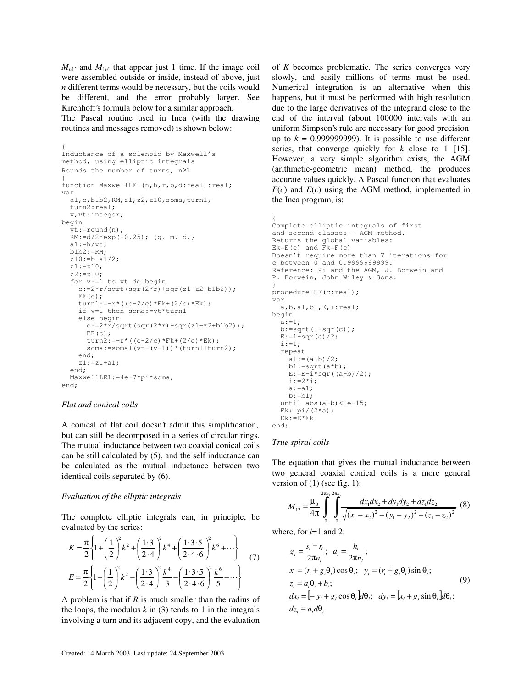$M_{n1}$  and  $M_{1n}$  that appear just 1 time. If the image coil were assembled outside or inside, instead of above, just *n* different terms would be necessary, but the coils would be different, and the error probably larger. See Kirchhoff's formula below for a similar approach.

The Pascal routine used in Inca (with the drawing routines and messages removed) is shown below:

```
{
Inductance of a solenoid by Maxwell's
method, using elliptic integrals
Rounds the number of turns, n≥1
}
function MaxwellLEl(n, h, r, b, d:real):real;
var
  a1,c,b1b2,RM,z1,z2,z10,soma,turn1,
   turn2:real;
  v, vt:integer;
begin
   vt:=round(n);
   RM:=d/2*exp(-0.25); {g. m. d.}
  a1:=h/vt;
   b1b2:=RM;
   z10:=b+a1/2;
   z1:=z10;
   z2:=z10;
   for v:=1 to vt do begin
    c:=2*r/sqrt(sqr(2*r)+sqr(zl-z2-b1b2));EF(c);
    turn1:=-r*(c-2/c)*Fk+(2/c)*Ek):
     if v=1 then soma:=vt*turn1
     else begin
      c:=2*\sqrt{r}\sqrt{sqrt(2+r)(2+r)}+sqrt(21-z^2+b1b^2)};
      EF(C);turn2:=-r*((c-2/c)*Fk+(2/c)*Ek);
      soma:=soma+(vt-(v-1))*(turn1+turn2);
     end;
    z1:=z1+a1; end;
   MaxwellLEl:=4e-7*pi*soma;
end;
```
## *Flat and conical coils*

A conical of flat coil doesn't admit this simplification, but can still be decomposed in a series of circular rings. The mutual inductance between two coaxial conical coils can be still calculated by (5), and the self inductance can be calculated as the mutual inductance between two identical coils separated by (6).

## *Evaluation of the elliptic integrals*

The complete elliptic integrals can, in principle, be evaluated by the series:

$$
K = \frac{\pi}{2} \left\{ 1 + \left(\frac{1}{2}\right)^2 k^2 + \left(\frac{1 \cdot 3}{2 \cdot 4}\right)^2 k^4 + \left(\frac{1 \cdot 3 \cdot 5}{2 \cdot 4 \cdot 6}\right)^2 k^6 + \cdots \right\}
$$
  
\n
$$
E = \frac{\pi}{2} \left\{ 1 - \left(\frac{1}{2}\right)^2 k^2 - \left(\frac{1 \cdot 3}{2 \cdot 4}\right)^2 \frac{k^4}{3} - \left(\frac{1 \cdot 3 \cdot 5}{2 \cdot 4 \cdot 6}\right)^2 \frac{k^6}{5} - \cdots \right\}
$$
 (7)

A problem is that if *R* is much smaller than the radius of the loops, the modulus  $k$  in (3) tends to 1 in the integrals involving a turn and its adjacent copy, and the evaluation of *K* becomes problematic. The series converges very slowly, and easily millions of terms must be used. Numerical integration is an alternative when this happens, but it must be performed with high resolution due to the large derivatives of the integrand close to the end of the interval (about 100000 intervals with an uniform Simpson's rule are necessary for good precision up to  $k = 0.99999999999$ . It is possible to use different series, that converge quickly for *k* close to 1 [15]. However, a very simple algorithm exists, the AGM (arithmetic-geometric mean) method, the produces accurate values quickly. A Pascal function that evaluates  $F(c)$  and  $E(c)$  using the AGM method, implemented in the Inca program, is:

```
{
Complete elliptic integrals of first
and second classes - AGM method.
Returns the global variables:
Ek=E(c) and Fk=F(c)Doesn't require more than 7 iterations for
c between 0 and 0.9999999999.
Reference: Pi and the AGM, J. Borwein and
P. Borwein, John Wiley & Sons.
}
procedure EF(c:real);
var
   a,b,a1,b1,E,i:real;
begin
  a: =1:b:=sqrt(1-sqr(c));
 E:=1-sqr(c)/2; i:=1;
  repeat
    a1:=(a+b)/2;b1:=sqrt(a*b);E:=E-i*sqrt( (a-b)/2);i := 2 * i; a:=a1;
    b:=b1;
  until abs(a-b) < 1e-15;
  Fk:=pi/(2*a); Ek:=E*Fk
```
# end;

## *True spiral coils*

The equation that gives the mutual inductance between two general coaxial conical coils is a more general version of (1) (see fig. 1):

$$
M_{12} = \frac{\mu_0}{4\pi} \int_0^{2\pi u_1} \int_0^{2\pi u_2} \frac{dx_1 dx_2 + dy_1 dy_2 + dz_1 dz_2}{\sqrt{(x_1 - x_2)^2 + (y_1 - y_2)^2 + (z_1 - z_2)^2}} \tag{8}
$$

where, for  $i=1$  and 2:

$$
g_i = \frac{s_i - r_i}{2\pi n_i}; \quad a_i = \frac{h_i}{2\pi n_i};
$$
  
\n
$$
x_i = (r_i + g_i\theta_i)\cos\theta_i; \quad y_i = (r_i + g_i\theta_i)\sin\theta_i;
$$
  
\n
$$
z_i = a_i\theta_i + b_i;
$$
  
\n
$$
dx_i = [-y_i + g_i\cos\theta_i]d\theta_i; \quad dy_i = [x_i + g_i\sin\theta_i]d\theta_i;
$$
  
\n
$$
dz_i = a_i d\theta_i
$$
\n(9)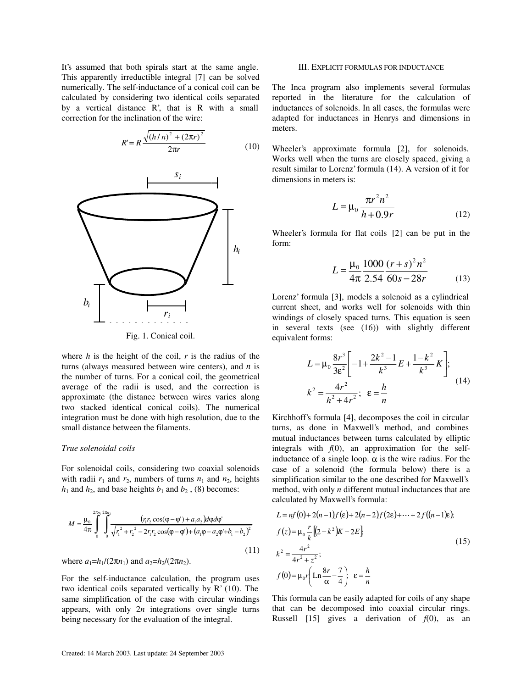It's assumed that both spirals start at the same angle. This apparently irreductible integral [7] can be solved numerically. The self-inductance of a conical coil can be calculated by considering two identical coils separated by a vertical distance R', that is R with a small correction for the inclination of the wire:

$$
R' = R \frac{\sqrt{(h/n)^2 + (2\pi r)^2}}{2\pi r}
$$
 (10)



Fig. 1. Conical coil.

where  $h$  is the height of the coil,  $r$  is the radius of the turns (always measured between wire centers), and *n* is the number of turns. For a conical coil, the geometrical average of the radii is used, and the correction is approximate (the distance between wires varies along two stacked identical conical coils). The numerical integration must be done with high resolution, due to the small distance between the filaments.

#### *True solenoidal coils*

For solenoidal coils, considering two coaxial solenoids with radii  $r_1$  and  $r_2$ , numbers of turns  $n_1$  and  $n_2$ , heights  $h_1$  and  $h_2$ , and base heights  $b_1$  and  $b_2$ , (8) becomes:

$$
M = \frac{\mu_0}{4\pi} \int_0^{2\pi r_1} \int_0^{2\pi r_2} \frac{(r_1 r_2 \cos(\varphi - \varphi') + a_1 a_2) d\varphi d\varphi'}{\sqrt{r_1^2 + r_2^2 - 2r_1 r_2 \cos(\varphi - \varphi') + (a_1 \varphi - a_2 \varphi' + b_1 - b_2)^2}}
$$
(11)

where  $a_1=h_1/(2\pi n_1)$  and  $a_2=h_2/(2\pi n_2)$ .

For the self-inductance calculation, the program uses two identical coils separated vertically by R' (10). The same simplification of the case with circular windings appears, with only 2*n* integrations over single turns being necessary for the evaluation of the integral.

## III. EXPLICIT FORMULAS FOR INDUCTANCE

The Inca program also implements several formulas reported in the literature for the calculation of inductances of solenoids. In all cases, the formulas were adapted for inductances in Henrys and dimensions in meters.

Wheeler's approximate formula [2], for solenoids. Works well when the turns are closely spaced, giving a result similar to Lorenz' formula (14). A version of it for dimensions in meters is:

$$
L = \mu_0 \frac{\pi r^2 n^2}{h + 0.9r}
$$
 (12)

Wheeler's formula for flat coils [2] can be put in the form:

$$
L = \frac{\mu_0}{4\pi} \frac{1000}{2.54} \frac{(r+s)^2 n^2}{60s - 28r}
$$
 (13)

Lorenz' formula [3], models a solenoid as a cylindrical current sheet, and works well for solenoids with thin windings of closely spaced turns. This equation is seen in several texts (see (16)) with slightly different equivalent forms:

$$
L = \mu_0 \frac{8r^3}{3\varepsilon^2} \left[ -1 + \frac{2k^2 - 1}{k^3} E + \frac{1 - k^2}{k^3} K \right];
$$
  

$$
k^2 = \frac{4r^2}{h^2 + 4r^2}; \quad \varepsilon = \frac{h}{n}
$$
 (14)

Kirchhoff's formula [4], decomposes the coil in circular turns, as done in Maxwell's method, and combines mutual inductances between turns calculated by elliptic integrals with  $f(0)$ , an approximation for the selfinductance of a single loop.  $\alpha$  is the wire radius. For the case of a solenoid (the formula below) there is a simplification similar to the one described for Maxwell's method, with only *n* different mutual inductances that are calculated by Maxwell's formula:

$$
L = nf(0) + 2(n-1)f(\varepsilon) + 2(n-2)f(2\varepsilon) + \dots + 2f((n-1)\varepsilon),
$$
  
\n
$$
f(z) = \mu_0 \frac{r}{k} [(2 - k^2)K - 2E]
$$
  
\n
$$
k^2 = \frac{4r^2}{4r^2 + z^2};
$$
  
\n
$$
f(0) = \mu_0 r \left( \text{Ln} \frac{8r}{\alpha} - \frac{7}{4} \right) \varepsilon = \frac{h}{n}
$$
 (15)

This formula can be easily adapted for coils of any shape that can be decomposed into coaxial circular rings. Russell  $[15]$  gives a derivation of  $f(0)$ , as an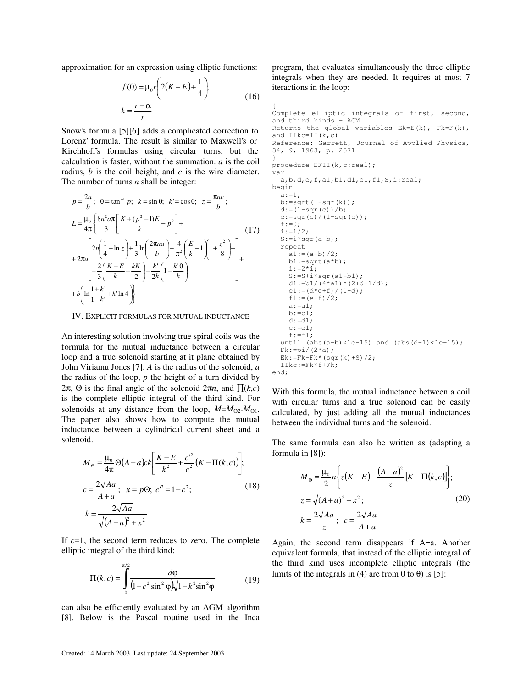approximation for an expression using elliptic functions:

$$
f(0) = \mu_0 r \left( 2(K - E) + \frac{1}{4} \right)
$$
  

$$
k = \frac{r - \alpha}{r}
$$
 (16)

Snow's formula [5][6] adds a complicated correction to Lorenz' formula. The result is similar to Maxwell's or Kirchhoff's formulas using circular turns, but the calculation is faster, without the summation. *a* is the coil radius, *b* is the coil height, and *c* is the wire diameter. The number of turns *n* shall be integer:

$$
p = \frac{2a}{b}; \quad \theta = \tan^{-1} p; \quad k = \sin \theta; \quad k' = \cos \theta; \quad z = \frac{\pi nc}{b};
$$
\n
$$
L = \frac{\mu_0}{4\pi} \left\{ \frac{8n^2 a \pi}{3} \left[ \frac{K + (p^2 - 1)E}{k} - p^2 \right] + \right.
$$
\n
$$
+ 2\pi a \left[ 2n \left( \frac{1}{4} - \ln z \right) + \frac{1}{3} \ln \left( \frac{2\pi na}{b} \right) - \frac{4}{\pi^2} \left( \frac{E}{k} - 1 \right) \left( 1 + \frac{z^2}{8} \right) - \right] + \frac{2}{3} \left( \frac{K - E}{k} - \frac{kK}{2} \right) - \frac{k'}{2k} \left( 1 - \frac{k' \theta}{k} \right)
$$
\n
$$
+ b \left( \ln \frac{1 + k'}{1 - k'} + k' \ln 4 \right)
$$
\n
$$
(17)
$$

#### IV. EXPLICIT FORMULAS FOR MUTUAL INDUCTANCE

An interesting solution involving true spiral coils was the formula for the mutual inductance between a circular loop and a true solenoid starting at it plane obtained by John Viriamu Jones [7]. *A* is the radius of the solenoid, *a* the radius of the loop, *p* the height of a turn divided by 2π, Θ is the final angle of the solenoid 2π*n*, and ∏(*k*,*c*) is the complete elliptic integral of the third kind. For solenoids at any distance from the loop,  $M=M_{\Theta_2}M_{\Theta_1}$ . The paper also shows how to compute the mutual inductance between a cylindrical current sheet and a solenoid.

$$
M_{\Theta} = \frac{\mu_0}{4\pi} \Theta(A + a)ck \left[ \frac{K - E}{k^2} + \frac{c'^2}{c^2} (K - \Pi(k, c)) \right];
$$
  
\n
$$
c = \frac{2\sqrt{Aa}}{A + a}; \quad x = p\Theta; \quad c'^2 = 1 - c^2;
$$
\n
$$
k = \frac{2\sqrt{Aa}}{\sqrt{(A + a)^2 + x^2}}
$$
\n(18)

If *c*=1, the second term reduces to zero. The complete elliptic integral of the third kind:

$$
\Pi(k,c) = \int_{0}^{\pi/2} \frac{d\varphi}{(1 - c^2 \sin^2 \varphi) \sqrt{1 - k^2 \sin^2 \varphi}}
$$
(19)

can also be efficiently evaluated by an AGM algorithm [8]. Below is the Pascal routine used in the Inca program, that evaluates simultaneously the three elliptic integrals when they are needed. It requires at most 7 iteractions in the loop:

{ Complete elliptic integrals of first, second, and third kinds - AGM Returns the global variables  $Ek=E(k)$ ,  $Fk=F(k)$ , and  $IIkc=II(k,c)$ Reference: Garrett, Journal of Applied Physics, 34, 9, 1963, p. 2571 } procedure EFII(k,c:real); var a,b,d,e,f,a1,b1,d1,e1,f1,S,i:real; begin  $a:=1$ :  $b:=sqrt(1-sqr(k));$  $d:=(1-sqr(c))/b;$  $e:=\sqrt{c}/(1-sqr(c));$  $f:=0;$  $i := 1/2;$  $S:=i*sqrt(a-b);$  repeat  $a1:=(a+b)/2;$  $b1:=sqrt(a*b);$  $i := 2 * i;$  $S:=S+i*sqrt(al-b1);$  $d1:=b1/(4*a1)*(2+d+1/d);$  $e1:=(d*e+f)/(1+d)$ ;  $f1:=(e+f)/2;$  $a:=a1;$  $b:=b1;$  $d:=d1;$  $e:=e1;$  $f:=f1;$ until (abs(a-b)<1e-15) and (abs(d-1)<1e-15);  $Fk:=pi/(2*a);$  $Ek: = Fk - Fk* (sqrt(k) + S) / 2;$  IIkc:=Fk\*f+Fk; end;

With this formula, the mutual inductance between a coil with circular turns and a true solenoid can be easily calculated, by just adding all the mutual inductances between the individual turns and the solenoid.

The same formula can also be written as (adapting a formula in [8]):

$$
M_{\Theta} = \frac{\mu_{0}}{2} n \left\{ z(K - E) + \frac{(A - a)^{2}}{z} [K - \Pi(k, c)] \right\};
$$
  
\n
$$
z = \sqrt{(A + a)^{2} + x^{2}};
$$
  
\n
$$
k = \frac{2\sqrt{Aa}}{z}; \quad c = \frac{2\sqrt{Aa}}{A + a}
$$
 (20)

Again, the second term disappears if A=a. Another equivalent formula, that instead of the elliptic integral of the third kind uses incomplete elliptic integrals (the limits of the integrals in (4) are from 0 to  $\theta$ ) is [5]: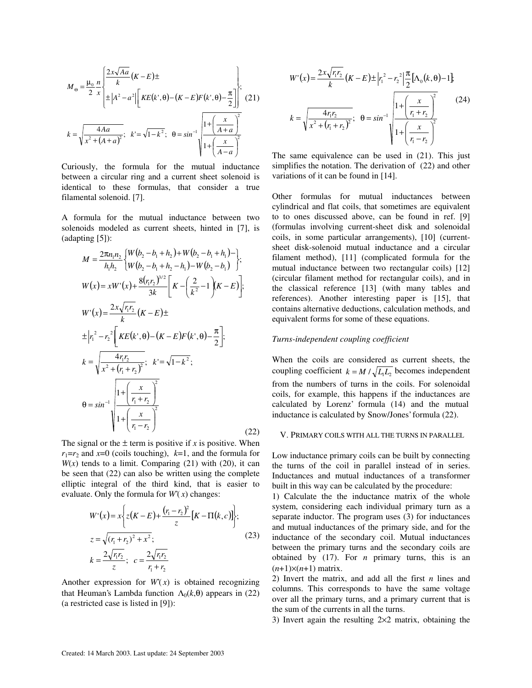$$
M_{\Theta} = \frac{\mu_0}{2} \frac{n}{x} \left\{ \frac{2x\sqrt{Aa}}{k} (K - E) \pm \frac{1}{2} \left[ \frac{2x\sqrt{Aa}}{k} (K - E) \right] \left[ \frac{2x\sqrt{Aa}}{k} (K - E) \right] \right\};
$$
\n
$$
k = \sqrt{\frac{4Aa}{x^2 + (A + a)^2}}; \quad k = \sqrt{1 - k^2}; \quad \Theta = \sin^{-1} \sqrt{\frac{1 + \left(\frac{x}{A + a}\right)^2}{1 + \left(\frac{x}{A - a}\right)^2}}
$$

Curiously, the formula for the mutual inductance between a circular ring and a current sheet solenoid is identical to these formulas, that consider a true filamental solenoid. [7].

A formula for the mutual inductance between two solenoids modeled as current sheets, hinted in [7], is (adapting [5]):

$$
M = \frac{2\pi n_1 n_2}{h_1 h_2} \left\{ W(b_2 - b_1 + h_2) + W(b_2 - b_1 + h_1) - \right\},\
$$
  
\n
$$
W(x) = xW'(x) + \frac{8(r_1 r_2)^{3/2}}{3k} \left[ K - \left( \frac{2}{k^2} - 1 \right) (K - E) \right];
$$
  
\n
$$
W'(x) = \frac{2x\sqrt{r_1 r_2}}{k} (K - E) \pm
$$
  
\n
$$
\pm |r_1^2 - r_2^2| \left[ KE(k', \theta) - (K - E)F(k', \theta) - \frac{\pi}{2} \right];
$$
  
\n
$$
k = \sqrt{\frac{4r_1 r_2}{x^2 + (r_1 + r_2)^2}}; \quad k' = \sqrt{1 - k^2};
$$
  
\n
$$
\theta = \sin^{-1} \sqrt{\frac{1 + \left( \frac{x}{r_1 + r_2} \right)^2}{1 + \left( \frac{x}{r_1 - r_2} \right)^2}}
$$
  
\n(22)

The signal or the  $\pm$  term is positive if *x* is positive. When  $r_1 = r_2$  and  $x = 0$  (coils touching),  $k = 1$ , and the formula for  $W(x)$  tends to a limit. Comparing (21) with (20), it can be seen that (22) can also be written using the complete elliptic integral of the third kind, that is easier to evaluate. Only the formula for  $W(x)$  changes:

$$
W'(x) = x \left\{ z(K - E) + \frac{(r_1 - r_2)^2}{z} [K - \Pi(k, c)] \right\};
$$
  
\n
$$
z = \sqrt{(r_1 + r_2)^2 + x^2};
$$
  
\n
$$
k = \frac{2\sqrt{r_1 r_2}}{z}; \ c = \frac{2\sqrt{r_1 r_2}}{r_1 + r_2}
$$
\n(23)

Another expression for  $W(x)$  is obtained recognizing that Heuman's Lambda function  $\Lambda_0(k, \theta)$  appears in (22) (a restricted case is listed in [9]):

$$
W'(x) = \frac{2x\sqrt{r_1r_2}}{k} (K - E) \pm |r_1^2 - r_2^2| \frac{\pi}{2} [\Lambda_0(k, \theta) - 1]
$$
  

$$
k = \sqrt{\frac{4r_1r_2}{x^2 + (r_1 + r_2)^2}}; \quad \theta = \sin^{-1} \sqrt{\frac{1 + (\frac{x}{r_1 + r_2})^2}{1 + (\frac{x}{r_1 - r_2})^2}}
$$
(24)

The same equivalence can be used in (21). This just simplifies the notation. The derivation of (22) and other variations of it can be found in [14].

Other formulas for mutual inductances between cylindrical and flat coils, that sometimes are equivalent to to ones discussed above, can be found in ref. [9] (formulas involving current-sheet disk and solenoidal coils, in some particular arrangements), [10] (currentsheet disk-solenoid mutual inductance and a circular filament method), [11] (complicated formula for the mutual inductance between two rectangular coils) [12] (circular filament method for rectangular coils), and in the classical reference [13] (with many tables and references). Another interesting paper is [15], that contains alternative deductions, calculation methods, and equivalent forms for some of these equations.

## *Turns-independent coupling coefficient*

When the coils are considered as current sheets, the coupling coefficient  $k = M / \sqrt{L_1 L_2}$  becomes independent from the numbers of turns in the coils. For solenoidal coils, for example, this happens if the inductances are calculated by Lorenz' formula (14) and the mutual inductance is calculated by Snow/Jones' formula (22).

## V. PRIMARY COILS WITH ALL THE TURNS IN PARALLEL

Low inductance primary coils can be built by connecting the turns of the coil in parallel instead of in series. Inductances and mutual inductances of a transformer built in this way can be calculated by the procedure:

1) Calculate the the inductance matrix of the whole system, considering each individual primary turn as a separate inductor. The program uses (3) for inductances and mutual inductances of the primary side, and for the inductance of the secondary coil. Mutual inductances between the primary turns and the secondary coils are obtained by (17). For *n* primary turns, this is an  $(n+1)\times(n+1)$  matrix.

2) Invert the matrix, and add all the first *n* lines and columns. This corresponds to have the same voltage over all the primary turns, and a primary current that is the sum of the currents in all the turns.

3) Invert again the resulting 2×2 matrix, obtaining the